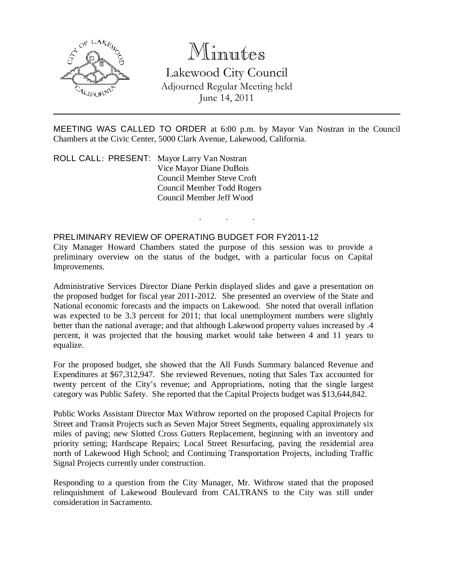

## Minutes

Lakewood City Council Adjourned Regular Meeting held June 14, 2011

MEETING WAS CALLED TO ORDER at 6:00 p.m. by Mayor Van Nostran in the Council Chambers at the Civic Center, 5000 Clark Avenue, Lakewood, California.

. . .

ROLL CALL: PRESENT: Mayor Larry Van Nostran Vice Mayor Diane DuBois Council Member Steve Croft Council Member Todd Rogers Council Member Jeff Wood

## PRELIMINARY REVIEW OF OPERATING BUDGET FOR FY2011-12

City Manager Howard Chambers stated the purpose of this session was to provide a preliminary overview on the status of the budget, with a particular focus on Capital Improvements.

Administrative Services Director Diane Perkin displayed slides and gave a presentation on the proposed budget for fiscal year 2011-2012. She presented an overview of the State and National economic forecasts and the impacts on Lakewood. She noted that overall inflation was expected to be 3.3 percent for 2011; that local unemployment numbers were slightly better than the national average; and that although Lakewood property values increased by .4 percent, it was projected that the housing market would take between 4 and 11 years to equalize.

For the proposed budget, she showed that the All Funds Summary balanced Revenue and Expenditures at \$67,312,947. She reviewed Revenues, noting that Sales Tax accounted for twenty percent of the City's revenue; and Appropriations, noting that the single largest category was Public Safety. She reported that the Capital Projects budget was \$13,644,842.

Public Works Assistant Director Max Withrow reported on the proposed Capital Projects for Street and Transit Projects such as Seven Major Street Segments, equaling approximately six miles of paving; new Slotted Cross Gutters Replacement, beginning with an inventory and priority setting; Hardscape Repairs; Local Street Resurfacing, paving the residential area north of Lakewood High School; and Continuing Transportation Projects, including Traffic Signal Projects currently under construction.

Responding to a question from the City Manager, Mr. Withrow stated that the proposed relinquishment of Lakewood Boulevard from CALTRANS to the City was still under consideration in Sacramento.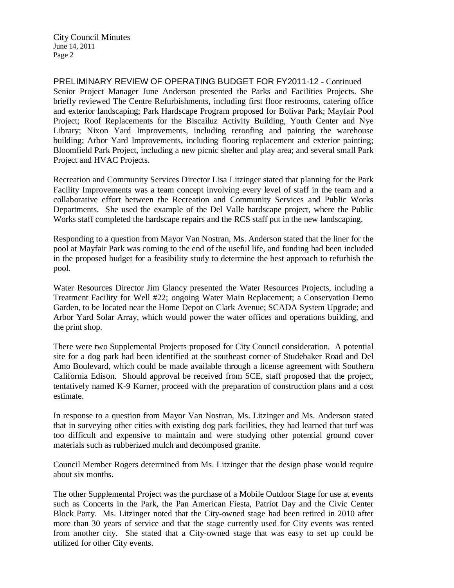City Council Minutes June 14, 2011 Page 2

PRELIMINARY REVIEW OF OPERATING BUDGET FOR FY2011-12 - Continued Senior Project Manager June Anderson presented the Parks and Facilities Projects. She briefly reviewed The Centre Refurbishments, including first floor restrooms, catering office and exterior landscaping; Park Hardscape Program proposed for Bolivar Park; Mayfair Pool Project; Roof Replacements for the Biscailuz Activity Building, Youth Center and Nye Library; Nixon Yard Improvements, including reroofing and painting the warehouse building; Arbor Yard Improvements, including flooring replacement and exterior painting; Bloomfield Park Project, including a new picnic shelter and play area; and several small Park Project and HVAC Projects.

Recreation and Community Services Director Lisa Litzinger stated that planning for the Park Facility Improvements was a team concept involving every level of staff in the team and a collaborative effort between the Recreation and Community Services and Public Works Departments. She used the example of the Del Valle hardscape project, where the Public Works staff completed the hardscape repairs and the RCS staff put in the new landscaping.

Responding to a question from Mayor Van Nostran, Ms. Anderson stated that the liner for the pool at Mayfair Park was coming to the end of the useful life, and funding had been included in the proposed budget for a feasibility study to determine the best approach to refurbish the pool.

Water Resources Director Jim Glancy presented the Water Resources Projects, including a Treatment Facility for Well #22; ongoing Water Main Replacement; a Conservation Demo Garden, to be located near the Home Depot on Clark Avenue; SCADA System Upgrade; and Arbor Yard Solar Array, which would power the water offices and operations building, and the print shop.

There were two Supplemental Projects proposed for City Council consideration. A potential site for a dog park had been identified at the southeast corner of Studebaker Road and Del Amo Boulevard, which could be made available through a license agreement with Southern California Edison. Should approval be received from SCE, staff proposed that the project, tentatively named K-9 Korner, proceed with the preparation of construction plans and a cost estimate.

In response to a question from Mayor Van Nostran, Ms. Litzinger and Ms. Anderson stated that in surveying other cities with existing dog park facilities, they had learned that turf was too difficult and expensive to maintain and were studying other potential ground cover materials such as rubberized mulch and decomposed granite.

Council Member Rogers determined from Ms. Litzinger that the design phase would require about six months.

The other Supplemental Project was the purchase of a Mobile Outdoor Stage for use at events such as Concerts in the Park, the Pan American Fiesta, Patriot Day and the Civic Center Block Party. Ms. Litzinger noted that the City-owned stage had been retired in 2010 after more than 30 years of service and that the stage currently used for City events was rented from another city. She stated that a City-owned stage that was easy to set up could be utilized for other City events.